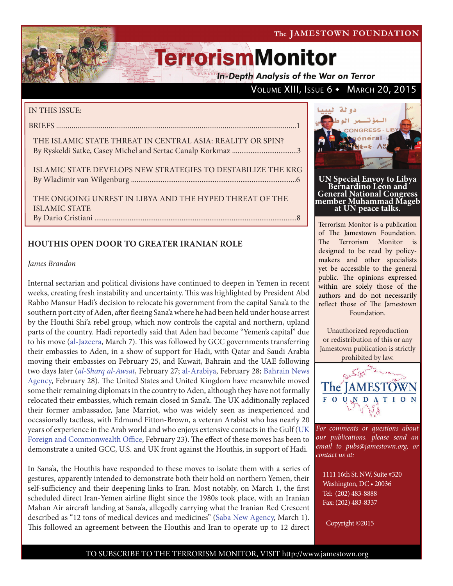VOLUME XIII, ISSUE  $6 \cdot$  March 20, 2015

# **TerrorismMonitor**

**In-Depth Analysis of the War on Terror** 

### IN THIS ISSUE:

BRIEFS ............................................................................................................................1

#### THE ISLAMIC STATE THREAT IN CENTRAL ASIA: REALITY OR SPIN? By Ryskeldi Satke, Casey Michel and Sertac Canalp Korkmaz ...................................3

ISLAMIC STATE DEVELOPS NEW STRATEGIES TO DESTABILIZE THE KRG By Wladimir van Wilgenburg .........................................................................................6

THE ONGOING UNREST IN LIBYA AND THE HYPED THREAT OF THE ISLAMIC STATE By Dario Cristiani .............................................................................................................8

### **HOUTHIS OPEN DOOR TO GREATER IRANIAN ROLE**

#### *James Brandon*

Internal sectarian and political divisions have continued to deepen in Yemen in recent weeks, creating fresh instability and uncertainty. This was highlighted by President Abd Rabbo Mansur Hadi's decision to relocate his government from the capital Sana'a to the southern port city of Aden, after fleeing Sana'a where he had been held under house arrest by the Houthi Shi'a rebel group, which now controls the capital and northern, upland parts of the country. Hadi reportedly said that Aden had become "Yemen's capital" due to his move (al-Jazeera, March 7). This was followed by GCC governments transferring their embassies to Aden, in a show of support for Hadi, with Qatar and Saudi Arabia moving their embassies on February 25, and Kuwait, Bahrain and the UAE following two days later (*al-Sharq al-Awsat*, February 27; al-Arabiya, February 28; Bahrain News Agency, February 28). The United States and United Kingdom have meanwhile moved some their remaining diplomats in the country to Aden, although they have not formally relocated their embassies, which remain closed in Sana'a. The UK additionally replaced their former ambassador, Jane Marriot, who was widely seen as inexperienced and occasionally tactless, with Edmund Fitton-Brown, a veteran Arabist who has nearly 20 years of experience in the Arab world and who enjoys extensive contacts in the Gulf (UK Foreign and Commonwealth Office, February 23). The effect of these moves has been to demonstrate a united GCC, U.S. and UK front against the Houthis, in support of Hadi.

In Sana'a, the Houthis have responded to these moves to isolate them with a series of gestures, apparently intended to demonstrate both their hold on northern Yemen, their self-sufficiency and their deepening links to Iran. Most notably, on March 1, the first scheduled direct Iran-Yemen airline flight since the 1980s took place, with an Iranian Mahan Air aircraft landing at Sana'a, allegedly carrying what the Iranian Red Crescent described as "12 tons of medical devices and medicines" (Saba New Agency, March 1). This followed an agreement between the Houthis and Iran to operate up to 12 direct



**UN Special Envoy to Libya<br>Bernardino Leon and General National Congress member Muhammad Mageb at UN peace talks.**

Terrorism Monitor is a publication of The Jamestown Foundation. The Terrorism Monitor is designed to be read by policymakers and other specialists yet be accessible to the general public. The opinions expressed within are solely those of the authors and do not necessarily reflect those of The Jamestown Foundation.

Unauthorized reproduction or redistribution of this or any Jamestown publication is strictly prohibited by law.



*For comments or questions about our publications, please send an email to pubs@jamestown.org, or contact us at:* 

1111 16th St. NW, Suite #320 Washington, DC • 20036 Tel: (202) 483-8888 Fax: (202) 483-8337

Copyright ©2015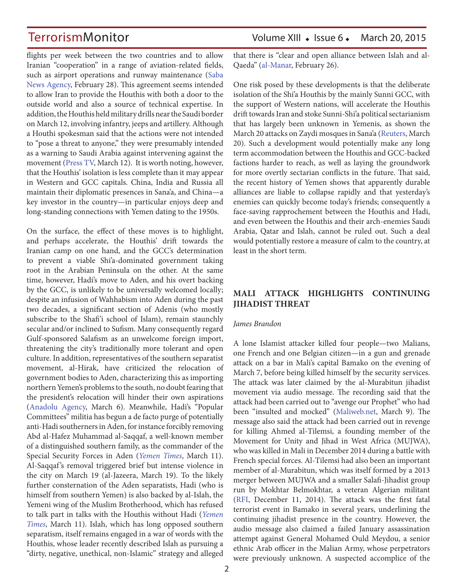flights per week between the two countries and to allow Iranian "cooperation" in a range of aviation-related fields, such as airport operations and runway maintenance (Saba News Agency, February 28). This agreement seems intended to allow Iran to provide the Houthis with both a door to the outside world and also a source of technical expertise. In addition, the Houthis held military drills near the Saudi border on March 12, involving infantry, jeeps and artillery. Although a Houthi spokesman said that the actions were not intended to "pose a threat to anyone," they were presumably intended as a warning to Saudi Arabia against intervening against the movement (Press TV, March 12). It is worth noting, however, that the Houthis' isolation is less complete than it may appear in Western and GCC capitals. China, India and Russia all maintain their diplomatic presences in Sana'a, and China—a key investor in the country—in particular enjoys deep and long-standing connections with Yemen dating to the 1950s.

On the surface, the effect of these moves is to highlight, and perhaps accelerate, the Houthis' drift towards the Iranian camp on one hand, and the GCC's determination to prevent a viable Shi'a-dominated government taking root in the Arabian Peninsula on the other. At the same time, however, Hadi's move to Aden, and his overt backing by the GCC, is unlikely to be universally welcomed locally; despite an infusion of Wahhabism into Aden during the past two decades, a significant section of Adenis (who mostly subscribe to the Shafi'i school of Islam), remain staunchly secular and/or inclined to Sufism. Many consequently regard Gulf-sponsored Salafism as an unwelcome foreign import, threatening the city's traditionally more tolerant and open culture. In addition, representatives of the southern separatist movement, al-Hirak, have criticized the relocation of government bodies to Aden, characterizing this as importing northern Yemen's problems to the south, no doubt fearing that the president's relocation will hinder their own aspirations (Anadolu Agency, March 6). Meanwhile, Hadi's "Popular Committees" militia has begun a de facto purge of potentially anti-Hadi southerners in Aden, for instance forcibly removing Abd al-Hafez Muhammad al-Saqqaf, a well-known member of a distinguished southern family, as the commander of the Special Security Forces in Aden (*Yemen Times*, March 11). Al-Saqqaf 's removal triggered brief but intense violence in the city on March 19 (al-Jazeera, March 19). To the likely further consternation of the Aden separatists, Hadi (who is himself from southern Yemen) is also backed by al-Islah, the Yemeni wing of the Muslim Brotherhood, which has refused to talk part in talks with the Houthis without Hadi (*Yemen Times*, March 11). Islah, which has long opposed southern separatism, itself remains engaged in a war of words with the Houthis, whose leader recently described Islah as pursuing a "dirty, negative, unethical, non-Islamic" strategy and alleged

## TerrorismMonitor Volume XIII • Issue 6 • March 20, 2015

that there is "clear and open alliance between Islah and al-Qaeda" (al-Manar, February 26).

One risk posed by these developments is that the deliberate isolation of the Shi'a Houthis by the mainly Sunni GCC, with the support of Western nations, will accelerate the Houthis drift towards Iran and stoke Sunni-Shi'a political sectarianism that has largely been unknown in Yemenis, as shown the March 20 attacks on Zaydi mosques in Sana'a (Reuters, March 20). Such a development would potentially make any long term accommodation between the Houthis and GCC-backed factions harder to reach, as well as laying the groundwork for more overtly sectarian conflicts in the future. That said, the recent history of Yemen shows that apparently durable alliances are liable to collapse rapidly and that yesterday's enemies can quickly become today's friends; consequently a face-saving rapprochement between the Houthis and Hadi, and even between the Houthis and their arch-enemies Saudi Arabia, Qatar and Islah, cannot be ruled out. Such a deal would potentially restore a measure of calm to the country, at least in the short term.

### **MALI ATTACK HIGHLIGHTS CONTINUING JIHADIST THREAT**

#### *James Brandon*

A lone Islamist attacker killed four people—two Malians, one French and one Belgian citizen—in a gun and grenade attack on a bar in Mali's capital Bamako on the evening of March 7, before being killed himself by the security services. The attack was later claimed by the al-Murabitun jihadist movement via audio message. The recording said that the attack had been carried out to "avenge our Prophet" who had been "insulted and mocked" (Maliweb.net, March 9). The message also said the attack had been carried out in revenge for killing Ahmed al-Tilemsi, a founding member of the Movement for Unity and Jihad in West Africa (MUJWA), who was killed in Mali in December 2014 during a battle with French special forces. Al-Tilemsi had also been an important member of al-Murabitun, which was itself formed by a 2013 merger between MUJWA and a smaller Salafi-Jihadist group run by Mokhtar Belmokhtar, a veteran Algerian militant (RFI, December 11, 2014). The attack was the first fatal terrorist event in Bamako in several years, underlining the continuing jihadist presence in the country. However, the audio message also claimed a failed January assassination attempt against General Mohamed Ould Meydou, a senior ethnic Arab officer in the Malian Army, whose perpetrators were previously unknown. A suspected accomplice of the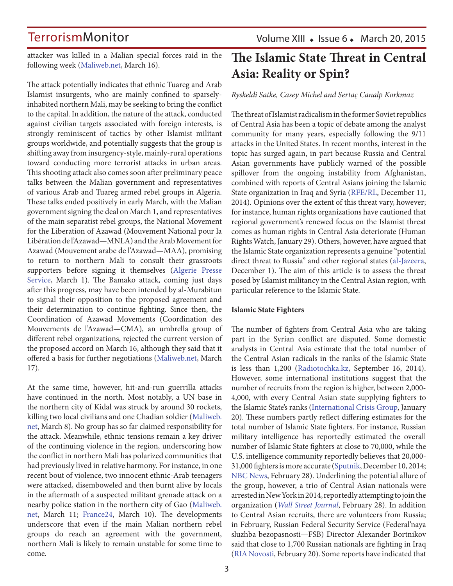Volume XIII  $\bullet$  Issue 6  $\bullet$  March 20, 2015

attacker was killed in a Malian special forces raid in the following week (Maliweb.net, March 16).

The attack potentially indicates that ethnic Tuareg and Arab Islamist insurgents, who are mainly confined to sparselyinhabited northern Mali, may be seeking to bring the conflict to the capital. In addition, the nature of the attack, conducted against civilian targets associated with foreign interests, is strongly reminiscent of tactics by other Islamist militant groups worldwide, and potentially suggests that the group is shifting away from insurgency-style, mainly-rural operations toward conducting more terrorist attacks in urban areas. This shooting attack also comes soon after preliminary peace talks between the Malian government and representatives of various Arab and Tuareg armed rebel groups in Algeria. These talks ended positively in early March, with the Malian government signing the deal on March 1, and representatives of the main separatist rebel groups, the National Movement for the Liberation of Azawad (Mouvement National pour la Libération de l'Azawad—MNLA) and the Arab Movement for Azawad (Mouvement arabe de l'Azawad—MAA), promising to return to northern Mali to consult their grassroots supporters before signing it themselves (Algerie Presse Service, March 1). The Bamako attack, coming just days after this progress, may have been intended by al-Murabitun to signal their opposition to the proposed agreement and their determination to continue fighting. Since then, the Coordination of Azawad Movements (Coordination des Mouvements de l'Azawad—CMA), an umbrella group of different rebel organizations, rejected the current version of the proposed accord on March 16, although they said that it offered a basis for further negotiations (Maliweb.net, March 17).

At the same time, however, hit-and-run guerrilla attacks have continued in the north. Most notably, a UN base in the northern city of Kidal was struck by around 30 rockets, killing two local civilians and one Chadian soldier (Maliweb. net, March 8). No group has so far claimed responsibility for the attack. Meanwhile, ethnic tensions remain a key driver of the continuing violence in the region, underscoring how the conflict in northern Mali has polarized communities that had previously lived in relative harmony. For instance, in one recent bout of violence, two innocent ethnic-Arab teenagers were attacked, disemboweled and then burnt alive by locals in the aftermath of a suspected militant grenade attack on a nearby police station in the northern city of Gao (Maliweb. net, March 11; France24, March 10). The developments underscore that even if the main Malian northern rebel groups do reach an agreement with the government, northern Mali is likely to remain unstable for some time to come.

## **The Islamic State Threat in Central Asia: Reality or Spin?**

*Ryskeldi Satke, Casey Michel and Sertaç Canalp Korkmaz*

The threat of Islamist radicalism in the former Soviet republics of Central Asia has been a topic of debate among the analyst community for many years, especially following the 9/11 attacks in the United States. In recent months, interest in the topic has surged again, in part because Russia and Central Asian governments have publicly warned of the possible spillover from the ongoing instability from Afghanistan, combined with reports of Central Asians joining the Islamic State organization in Iraq and Syria (RFE/RL, December 11, 2014). Opinions over the extent of this threat vary, however; for instance, human rights organizations have cautioned that regional government's renewed focus on the Islamist threat comes as human rights in Central Asia deteriorate (Human Rights Watch, January 29). Others, however, have argued that the Islamic State organization represents a genuine "potential direct threat to Russia" and other regional states (al-Jazeera, December 1). The aim of this article is to assess the threat posed by Islamist militancy in the Central Asian region, with particular reference to the Islamic State.

#### **Islamic State Fighters**

The number of fighters from Central Asia who are taking part in the Syrian conflict are disputed. Some domestic analysts in Central Asia estimate that the total number of the Central Asian radicals in the ranks of the Islamic State is less than 1,200 (Radiotochka.kz, September 16, 2014). However, some international institutions suggest that the number of recruits from the region is higher, between 2,000- 4,000, with every Central Asian state supplying fighters to the Islamic State's ranks (International Crisis Group, January 20). These numbers partly reflect differing estimates for the total number of Islamic State fighters. For instance, Russian military intelligence has reportedly estimated the overall number of Islamic State fighters at close to 70,000, while the U.S. intelligence community reportedly believes that 20,000- 31,000 fighters is more accurate (Sputnik, December 10, 2014; NBC News, February 28). Underlining the potential allure of the group, however, a trio of Central Asian nationals were arrested in New York in 2014, reportedly attempting to join the organization (*Wall Street Journal*, February 28). In addition to Central Asian recruits, there are volunteers from Russia; in February, Russian Federal Security Service (Federal'naya sluzhba bezopasnosti—FSB) Director Alexander Bortnikov said that close to 1,700 Russian nationals are fighting in Iraq (RIA Novosti, February 20). Some reports have indicated that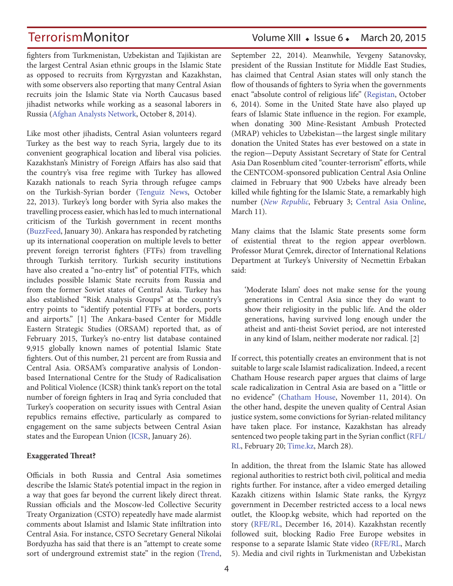TerrorismMonitor Volume XIII • Issue 6 • March 20, 2015

fighters from Turkmenistan, Uzbekistan and Tajikistan are the largest Central Asian ethnic groups in the Islamic State as opposed to recruits from Kyrgyzstan and Kazakhstan, with some observers also reporting that many Central Asian recruits join the Islamic State via North Caucasus based jihadist networks while working as a seasonal laborers in Russia (Afghan Analysts Network, October 8, 2014).

Like most other jihadists, Central Asian volunteers regard Turkey as the best way to reach Syria, largely due to its convenient geographical location and liberal visa policies. Kazakhstan's Ministry of Foreign Affairs has also said that the country's visa free regime with Turkey has allowed Kazakh nationals to reach Syria through refugee camps on the Turkish-Syrian border (Tenguiz News, October 22, 2013). Turkey's long border with Syria also makes the travelling process easier, which has led to much international criticism of the Turkish government in recent months (BuzzFeed, January 30). Ankara has responded by ratcheting up its international cooperation on multiple levels to better prevent foreign terrorist fighters (FTFs) from travelling through Turkish territory. Turkish security institutions have also created a "no-entry list" of potential FTFs, which includes possible Islamic State recruits from Russia and from the former Soviet states of Central Asia. Turkey has also established "Risk Analysis Groups" at the country's entry points to "identify potential FTFs at borders, ports and airports." [1] The Ankara-based Center for Middle Eastern Strategic Studies (ORSAM) reported that, as of February 2015, Turkey's no-entry list database contained 9,915 globally known names of potential Islamic State fighters. Out of this number, 21 percent are from Russia and Central Asia. ORSAM's comparative analysis of Londonbased International Centre for the Study of Radicalisation and Political Violence (ICSR) think tank's report on the total number of foreign fighters in Iraq and Syria concluded that Turkey's cooperation on security issues with Central Asian republics remains effective, particularly as compared to engagement on the same subjects between Central Asian states and the European Union (ICSR, January 26).

#### **Exaggerated Threat?**

Officials in both Russia and Central Asia sometimes describe the Islamic State's potential impact in the region in a way that goes far beyond the current likely direct threat. Russian officials and the Moscow-led Collective Security Treaty Organization (CSTO) repeatedly have made alarmist comments about Islamist and Islamic State infiltration into Central Asia. For instance, CSTO Secretary General Nikolai Bordyuzha has said that there is an "attempt to create some sort of underground extremist state" in the region (Trend,

September 22, 2014). Meanwhile, Yevgeny Satanovsky, president of the Russian Institute for Middle East Studies, has claimed that Central Asian states will only stanch the flow of thousands of fighters to Syria when the governments enact "absolute control of religious life" (Registan, October 6, 2014). Some in the United State have also played up fears of Islamic State influence in the region. For example, when donating 300 Mine-Resistant Ambush Protected (MRAP) vehicles to Uzbekistan—the largest single military donation the United States has ever bestowed on a state in the region—Deputy Assistant Secretary of State for Central Asia Dan Rosenblum cited "counter-terrorism" efforts, while the CENTCOM-sponsored publication Central Asia Online claimed in February that 900 Uzbeks have already been killed while fighting for the Islamic State, a remarkably high number (*New Republic*, February 3; Central Asia Online, March 11).

Many claims that the Islamic State presents some form of existential threat to the region appear overblown. Professor Murat Çemrek, director of International Relations Department at Turkey's University of Necmettin Erbakan said:

'Moderate Islam' does not make sense for the young generations in Central Asia since they do want to show their religiosity in the public life. And the older generations, having survived long enough under the atheist and anti-theist Soviet period, are not interested in any kind of Islam, neither moderate nor radical. [2]

If correct, this potentially creates an environment that is not suitable to large scale Islamist radicalization. Indeed, a recent Chatham House research paper argues that claims of large scale radicalization in Central Asia are based on a "little or no evidence" (Chatham House, November 11, 2014). On the other hand, despite the uneven quality of Central Asian justice system, some convictions for Syrian-related militancy have taken place. For instance, Kazakhstan has already sentenced two people taking part in the Syrian conflict (RFL/ RL, February 20; Time.kz, March 28).

In addition, the threat from the Islamic State has allowed regional authorities to restrict both civil, political and media rights further. For instance, after a video emerged detailing Kazakh citizens within Islamic State ranks, the Kyrgyz government in December restricted access to a local news outlet, the Kloop.kg website, which had reported on the story (RFE/RL, December 16, 2014). Kazakhstan recently followed suit, blocking Radio Free Europe websites in response to a separate Islamic State video (RFE/RL, March 5). Media and civil rights in Turkmenistan and Uzbekistan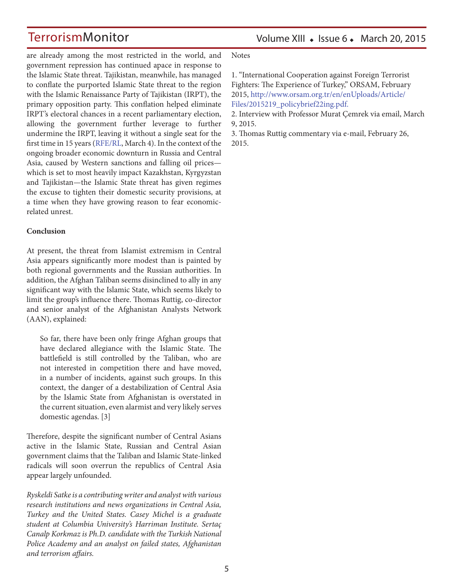Volume XIII  $\bullet$  Issue 6  $\bullet$  March 20, 2015

are already among the most restricted in the world, and government repression has continued apace in response to the Islamic State threat. Tajikistan, meanwhile, has managed to conflate the purported Islamic State threat to the region with the Islamic Renaissance Party of Tajikistan (IRPT), the primary opposition party. This conflation helped eliminate IRPT's electoral chances in a recent parliamentary election, allowing the government further leverage to further undermine the IRPT, leaving it without a single seat for the first time in 15 years (RFE/RL, March 4). In the context of the ongoing broader economic downturn in Russia and Central Asia, caused by Western sanctions and falling oil prices which is set to most heavily impact Kazakhstan, Kyrgyzstan and Tajikistan—the Islamic State threat has given regimes the excuse to tighten their domestic security provisions, at a time when they have growing reason to fear economicrelated unrest.

#### **Conclusion**

At present, the threat from Islamist extremism in Central Asia appears significantly more modest than is painted by both regional governments and the Russian authorities. In addition, the Afghan Taliban seems disinclined to ally in any significant way with the Islamic State, which seems likely to limit the group's influence there. Thomas Ruttig, co-director and senior analyst of the Afghanistan Analysts Network (AAN), explained:

So far, there have been only fringe Afghan groups that have declared allegiance with the Islamic State. The battlefield is still controlled by the Taliban, who are not interested in competition there and have moved, in a number of incidents, against such groups. In this context, the danger of a destabilization of Central Asia by the Islamic State from Afghanistan is overstated in the current situation, even alarmist and very likely serves domestic agendas. [3]

Therefore, despite the significant number of Central Asians active in the Islamic State, Russian and Central Asian government claims that the Taliban and Islamic State-linked radicals will soon overrun the republics of Central Asia appear largely unfounded.

*Ryskeldi Satke is a contributing writer and analyst with various research institutions and news organizations in Central Asia, Turkey and the United States. Casey Michel is a graduate student at Columbia University's Harriman Institute. Sertaç Canalp Korkmaz is Ph.D. candidate with the Turkish National Police Academy and an analyst on failed states, Afghanistan and terrorism affairs.*

Notes

1. "International Cooperation against Foreign Terrorist Fighters: The Experience of Turkey," ORSAM, February 2015, http://www.orsam.org.tr/en/enUploads/Article/ Files/2015219\_policybrief22ing.pdf.

2. Interview with Professor Murat Çemrek via email, March 9, 2015.

3. Thomas Ruttig commentary via e-mail, February 26, 2015.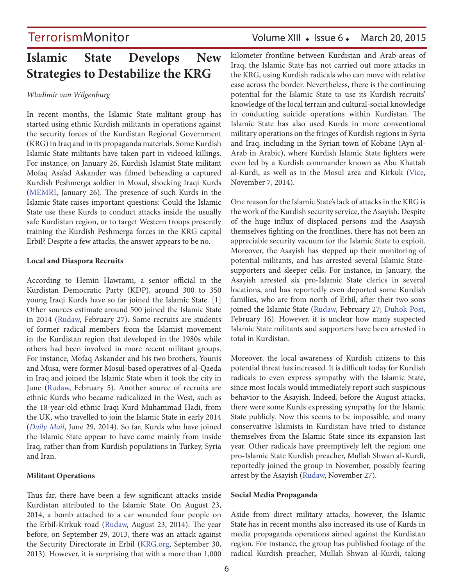## **Islamic State Develops New Strategies to Destabilize the KRG**

#### *Wladimir van Wilgenburg*

In recent months, the Islamic State militant group has started using ethnic Kurdish militants in operations against the security forces of the Kurdistan Regional Government (KRG) in Iraq and in its propaganda materials. Some Kurdish Islamic State militants have taken part in videoed killings. For instance, on January 26, Kurdish Islamist State militant Mofaq Asa'ad Askander was filmed beheading a captured Kurdish Peshmerga soldier in Mosul, shocking Iraqi Kurds (MEMRI, January 26). The presence of such Kurds in the Islamic State raises important questions: Could the Islamic State use these Kurds to conduct attacks inside the usually safe Kurdistan region, or to target Western troops presently training the Kurdish Peshmerga forces in the KRG capital Erbil? Despite a few attacks, the answer appears to be no.

#### **Local and Diaspora Recruits**

According to Hemin Hawrami, a senior official in the Kurdistan Democratic Party (KDP), around 300 to 350 young Iraqi Kurds have so far joined the Islamic State. [1] Other sources estimate around 500 joined the Islamic State in 2014 (Rudaw, February 27). Some recruits are students of former radical members from the Islamist movement in the Kurdistan region that developed in the 1980s while others had been involved in more recent militant groups. For instance, Mofaq Askander and his two brothers, Younis and Musa, were former Mosul-based operatives of al-Qaeda in Iraq and joined the Islamic State when it took the city in June (Rudaw, February 5). Another source of recruits are ethnic Kurds who became radicalized in the West, such as the 18-year-old ethnic Iraqi Kurd Muhammad Hadi, from the UK, who travelled to join the Islamic State in early 2014 (*Daily Mail*, June 29, 2014). So far, Kurds who have joined the Islamic State appear to have come mainly from inside Iraq, rather than from Kurdish populations in Turkey, Syria and Iran.

#### **Militant Operations**

Thus far, there have been a few significant attacks inside Kurdistan attributed to the Islamic State. On August 23, 2014, a bomb attached to a car wounded four people on the Erbil-Kirkuk road (Rudaw, August 23, 2014). The year before, on September 29, 2013, there was an attack against the Security Directorate in Erbil (KRG.org, September 30, 2013). However, it is surprising that with a more than 1,000

## TerrorismMonitor Volume XIII • Issue 6 • March 20, 2015

kilometer frontline between Kurdistan and Arab-areas of Iraq, the Islamic State has not carried out more attacks in the KRG, using Kurdish radicals who can move with relative ease across the border. Nevertheless, there is the continuing potential for the Islamic State to use its Kurdish recruits' knowledge of the local terrain and cultural-social knowledge in conducting suicide operations within Kurdistan. The Islamic State has also used Kurds in more conventional military operations on the fringes of Kurdish regions in Syria and Iraq, including in the Syrian town of Kobane (Ayn al-Arab in Arabic), where Kurdish Islamic State fighters were even led by a Kurdish commander known as Abu Khattab al-Kurdi, as well as in the Mosul area and Kirkuk (Vice, November 7, 2014).

One reason for the Islamic State's lack of attacks in the KRG is the work of the Kurdish security service, the Asayish. Despite of the huge influx of displaced persons and the Asayish themselves fighting on the frontlines, there has not been an appreciable security vacuum for the Islamic State to exploit. Moreover, the Asayish has stepped up their monitoring of potential militants, and has arrested several Islamic Statesupporters and sleeper cells. For instance, in January, the Asayish arrested six pro-Islamic State clerics in several locations, and has reportedly even deported some Kurdish families, who are from north of Erbil, after their two sons joined the Islamic State (Rudaw, February 27; Duhok Post, February 16). However, it is unclear how many suspected Islamic State militants and supporters have been arrested in total in Kurdistan.

Moreover, the local awareness of Kurdish citizens to this potential threat has increased. It is difficult today for Kurdish radicals to even express sympathy with the Islamic State, since most locals would immediately report such suspicious behavior to the Asayish. Indeed, before the August attacks, there were some Kurds expressing sympathy for the Islamic State publicly. Now this seems to be impossible, and many conservative Islamists in Kurdistan have tried to distance themselves from the Islamic State since its expansion last year. Other radicals have preemptively left the region; one pro-Islamic State Kurdish preacher, Mullah Shwan al-Kurdi, reportedly joined the group in November, possibly fearing arrest by the Asayish (Rudaw, November 27).

#### **Social Media Propaganda**

Aside from direct military attacks, however, the Islamic State has in recent months also increased its use of Kurds in media propaganda operations aimed against the Kurdistan region. For instance, the group has published footage of the radical Kurdish preacher, Mullah Shwan al-Kurdi, taking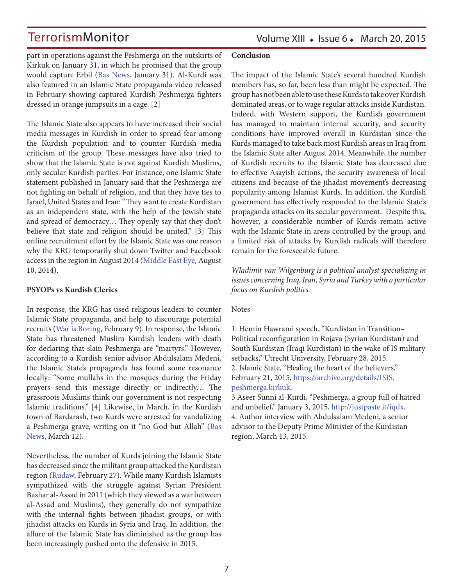Volume XIII  $\bullet$  Issue 6  $\bullet$  March 20, 2015

part in operations against the Peshmerga on the outskirts of Kirkuk on January 31, in which he promised that the group would capture Erbil (Bas News, January 31). Al-Kurdi was also featured in an Islamic State propaganda video released in February showing captured Kurdish Peshmerga fighters dressed in orange jumpsuits in a cage. [2]

The Islamic State also appears to have increased their social media messages in Kurdish in order to spread fear among the Kurdish population and to counter Kurdish media criticism of the group. These messages have also tried to show that the Islamic State is not against Kurdish Muslims, only secular Kurdish parties. For instance, one Islamic State statement published in January said that the Peshmerga are not fighting on behalf of religion, and that they have ties to Israel, United States and Iran: "They want to create Kurdistan as an independent state, with the help of the Jewish state and spread of democracy… They openly say that they don't believe that state and religion should be united." [3] This online recruitment effort by the Islamic State was one reason why the KRG temporarily shut down Twitter and Facebook access in the region in August 2014 (Middle East Eye, August 10, 2014).

#### **PSYOPs vs Kurdish Clerics**

In response, the KRG has used religious leaders to counter Islamic State propaganda, and help to discourage potential recruits (War is Boring, February 9). In response, the Islamic State has threatened Muslim Kurdish leaders with death for declaring that slain Peshmerga are "martyrs." However, according to a Kurdish senior advisor Abdulsalam Medeni, the Islamic State's propaganda has found some resonance locally: "Some mullahs in the mosques during the Friday prayers send this message directly or indirectly… The grassroots Muslims think our government is not respecting Islamic traditions." [4] Likewise, in March, in the Kurdish town of Bardarash, two Kurds were arrested for vandalizing a Peshmerga grave, writing on it "no God but Allah" (Bas News, March 12).

Nevertheless, the number of Kurds joining the Islamic State has decreased since the militant group attacked the Kurdistan region (Rudaw, February 27). While many Kurdish Islamists sympathized with the struggle against Syrian President Bashar al-Assad in 2011 (which they viewed as a war between al-Assad and Muslims), they generally do not sympathize with the internal fights between jihadist groups, or with jihadist attacks on Kurds in Syria and Iraq. In addition, the allure of the Islamic State has diminished as the group has been increasingly pushed onto the defensive in 2015.

#### **Conclusion**

The impact of the Islamic State's several hundred Kurdish members has, so far, been less than might be expected. The group has not been able to use these Kurds to take over Kurdish dominated areas, or to wage regular attacks inside Kurdistan. Indeed, with Western support, the Kurdish government has managed to maintain internal security, and security conditions have improved overall in Kurdistan since the Kurds managed to take back most Kurdish areas in Iraq from the Islamic State after August 2014. Meanwhile, the number of Kurdish recruits to the Islamic State has decreased due to effective Asayish actions, the security awareness of local citizens and because of the jihadist movement's decreasing popularity among Islamist Kurds. In addition, the Kurdish government has effectively responded to the Islamic State's propaganda attacks on its secular government. Despite this, however, a considerable number of Kurds remain active with the Islamic State in areas controlled by the group, and a limited risk of attacks by Kurdish radicals will therefore remain for the foreseeable future.

*Wladimir van Wilgenburg is a political analyst specializing in issues concerning Iraq, Iran, Syria and Turkey with a particular focus on Kurdish politics.*

#### **Notes**

1. Hemin Hawrami speech, "Kurdistan in Transition– Political reconfiguration in Rojava (Syrian Kurdistan) and South Kurdistan (Iraqi Kurdistan) in the wake of IS military setbacks," Utrecht University, February 28, 2015. 2. Islamic State, "Healing the heart of the believers," February 21, 2015, https://archive.org/details/ISIS. peshmerga.kirkuk.

3 Aseer Sunni al-Kurdi, "Peshmerga, a group full of hatred and unbelief," January 3, 2015, http://justpaste.it/iqdx. 4. Author interview with Abdulsalam Medeni, a senior advisor to the Deputy Prime Minister of the Kurdistan region, March 13, 2015.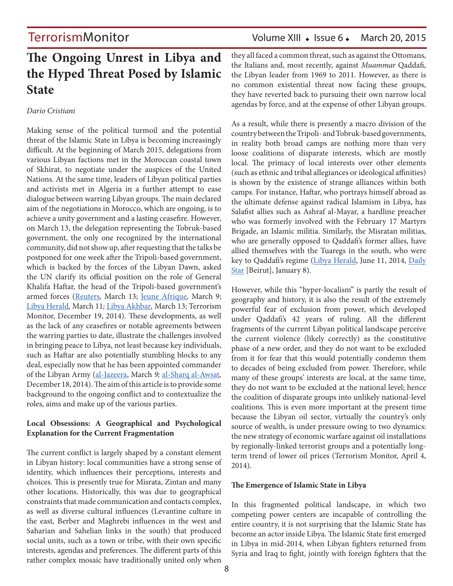## TerrorismMonitor Volume XIII • Issue 6 • March 20, 2015

## **The Ongoing Unrest in Libya and the Hyped Threat Posed by Islamic State**

#### *Dario Cristiani*

Making sense of the political turmoil and the potential threat of the Islamic State in Libya is becoming increasingly difficult. At the beginning of March 2015, delegations from various Libyan factions met in the Moroccan coastal town of Skhirat, to negotiate under the auspices of the United Nations. At the same time, leaders of Libyan political parties and activists met in Algeria in a further attempt to ease dialogue between warring Libyan groups. The main declared aim of the negotiations in Morocco, which are ongoing, is to achieve a unity government and a lasting ceasefire. However, on March 13, the delegation representing the Tobruk-based government, the only one recognized by the international community, did not show up, after requesting that the talks be postponed for one week after the Tripoli-based government, which is backed by the forces of the Libyan Dawn, asked the UN clarify its official position on the role of General Khalifa Haftar, the head of the Tripoli-based government's armed forces (Reuters*,* March 13; Jeune Afrique*,* March 9; Libya Herald*,* March 11*;* Libya Akhbar*,* March 13; Terrorism Monitor, December 19, 2014). These developments, as well as the lack of any ceasefires or notable agreements between the warring parties to date, illustrate the challenges involved in bringing peace to Libya, not least because key individuals, such as Haftar are also potentially stumbling blocks to any deal, especially now that he has been appointed commander of the Libyan Army (al-Jazeera, March *9;* al-Sharq al-Awsat*,*  December 18, 2014). The aim of this article is to provide some background to the ongoing conflict and to contextualize the roles, aims and make up of the various parties.

#### **Local Obsessions: A Geographical and Psychological Explanation for the Current Fragmentation**

The current conflict is largely shaped by a constant element in Libyan history: local communities have a strong sense of identity, which influences their perceptions, interests and choices. This is presently true for Misrata, Zintan and many other locations. Historically, this was due to geographical constraints that made communication and contacts complex, as well as diverse cultural influences (Levantine culture in the east, Berber and Maghrebi influences in the west and Saharian and Sahelian links in the south) that produced social units, such as a town or tribe, with their own specific interests, agendas and preferences. The different parts of this rather complex mosaic have traditionally united only when they all faced a common threat, such as against the Ottomans, the Italians and, most recently, against *Muammar* Qaddafi, the Libyan leader from 1969 to 2011. However, as there is no common existential threat now facing these groups, they have reverted back to pursuing their own narrow local agendas by force, and at the expense of other Libyan groups.

As a result, while there is presently a macro division of the country between the Tripoli- and Tobruk-based governments, in reality both broad camps are nothing more than very loose coalitions of disparate interests, which are mostly local. The primacy of local interests over other elements (such as ethnic and tribal allegiances or ideological affinities) is shown by the existence of strange alliances within both camps. For instance, Haftar, who portrays himself abroad as the ultimate defense against radical Islamism in Libya, has Salafist allies such as Ashraf al-Mayar, a hardline preacher who was formerly involved with the February 17 Martyrs Brigade, an Islamic militia. Similarly, the Misratan militias, who are generally opposed to Qaddafi's former allies, have allied themselves with the Tuaregs in the south, who were key to Qaddafi's regime (Libya Herald, June 11, 2014, Daily Star [Beirut], January 8).

However, while this "hyper-localism" is partly the result of geography and history, it is also the result of the extremely powerful fear of exclusion from power, which developed under Qaddafi's 42 years of ruling. All the different fragments of the current Libyan political landscape perceive the current violence (likely correctly) as the constitutive phase of a new order, and they do not want to be excluded from it for fear that this would potentially condemn them to decades of being excluded from power. Therefore, while many of these groups' interests are local, at the same time, they do not want to be excluded at the national level; hence the coalition of disparate groups into unlikely national-level coalitions. This is even more important at the present time because the Libyan oil sector, virtually the country's only source of wealth, is under pressure owing to two dynamics: the new strategy of economic warfare against oil installations by regionally-linked terrorist groups and a potentially longterm trend of lower oil prices (Terrorism Monitor, April 4, 2014).

#### **The Emergence of Islamic State in Libya**

In this fragmented political landscape, in which two competing power centers are incapable of controlling the entire country, it is not surprising that the Islamic State has become an actor inside Libya. The Islamic State first emerged in Libya in mid-2014, when Libyan fighters returned from Syria and Iraq to fight, jointly with foreign fighters that the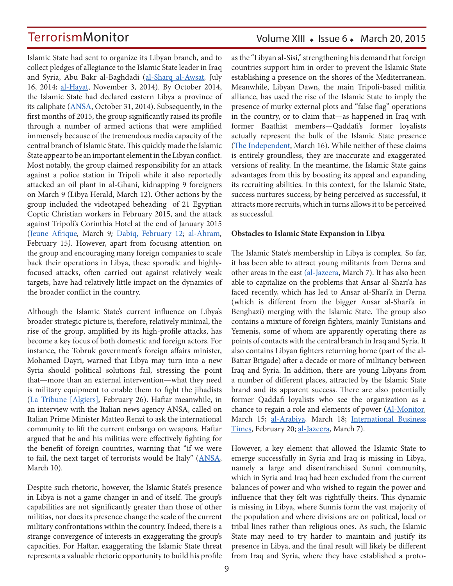Islamic State had sent to organize its Libyan branch, and to collect pledges of allegiance to the Islamic State leader in Iraq and Syria, Abu Bakr al-Baghdadi (al-Sharq al-Awsat*,* July 16, 2014; al-Hayat, November 3, 2014). By October 2014, the Islamic State had declared eastern Libya a province of its caliphate (ANSA, October 31, 2014). Subsequently, in the first months of 2015, the group significantly raised its profile through a number of armed actions that were amplified immensely because of the tremendous media capacity of the central branch of Islamic State. This quickly made the Islamic State appear to be an important element in the Libyan conflict. Most notably, the group claimed responsibility for an attack against a police station in Tripoli while it also reportedly attacked an oil plant in al-Ghani, kidnapping 9 foreigners on March 9 (Libya Herald, March 12). Other actions by the group included the videotaped beheading of 21 Egyptian Coptic Christian workers in February 2015, and the attack against Tripoli's Corinthia Hotel at the end of January 2015 (Jeune Afrique*,* March 9*;* Dabiq, February 12*;* al-Ahram*,*  February 15*).* However, apart from focusing attention on the group and encouraging many foreign companies to scale back their operations in Libya, these sporadic and highlyfocused attacks, often carried out against relatively weak targets, have had relatively little impact on the dynamics of the broader conflict in the country.

Although the Islamic State's current influence on Libya's broader strategic picture is, therefore, relatively minimal, the rise of the group, amplified by its high-profile attacks, has become a key focus of both domestic and foreign actors. For instance, the Tobruk government's foreign affairs minister, Mohamed Dayri, warned that Libya may turn into a new Syria should political solutions fail, stressing the point that—more than an external intervention—what they need is military equipment to enable them to fight the jihadists (La Tribune [Algiers]*,* February 26). Haftar meanwhile, in an interview with the Italian news agency ANSA, called on Italian Prime Minister Matteo Renzi to ask the international community to lift the current embargo on weapons. Haftar argued that he and his militias were effectively fighting for the benefit of foreign countries, warning that "if we were to fail, the next target of terrorists would be Italy" (ANSA, March 10).

Despite such rhetoric, however, the Islamic State's presence in Libya is not a game changer in and of itself. The group's capabilities are not significantly greater than those of other militias, nor does its presence change the scale of the current military confrontations within the country. Indeed, there is a strange convergence of interests in exaggerating the group's capacities. For Haftar, exaggerating the Islamic State threat represents a valuable rhetoric opportunity to build his profile

#### as the "Libyan al-Sisi," strengthening his demand that foreign countries support him in order to prevent the Islamic State establishing a presence on the shores of the Mediterranean. Meanwhile, Libyan Dawn, the main Tripoli-based militia alliance, has used the rise of the Islamic State to imply the presence of murky external plots and "false flag" operations in the country, or to claim that—as happened in Iraq with former Baathist members—Qaddafi's former loyalists actually represent the bulk of the Islamic State presence (The Independent, March 16). While neither of these claims is entirely groundless, they are inaccurate and exaggerated versions of reality. In the meantime, the Islamic State gains advantages from this by boosting its appeal and expanding its recruiting abilities. In this context, for the Islamic State, success nurtures success; by being perceived as successful, it attracts more recruits, which in turns allows it to be perceived as successful.

#### **Obstacles to Islamic State Expansion in Libya**

The Islamic State's membership in Libya is complex. So far, it has been able to attract young militants from Derna and other areas in the east (al-Jazeera, March 7). It has also been able to capitalize on the problems that Ansar al-Shari'a has faced recently, which has led to Ansar al-Shari'a in Derna (which is different from the bigger Ansar al-Shari'a in Benghazi) merging with the Islamic State. The group also contains a mixture of foreign fighters, mainly Tunisians and Yemenis, some of whom are apparently operating there as points of contacts with the central branch in Iraq and Syria. It also contains Libyan fighters returning home (part of the al-Battar Brigade) after a decade or more of militancy between Iraq and Syria. In addition, there are young Libyans from a number of different places, attracted by the Islamic State brand and its apparent success. There are also potentially former Qaddafi loyalists who see the organization as a chance to regain a role and elements of power (Al-Monitor*,*  March 15; al-Arabiya*,* March 18; International Business Times, February 20; al-Jazeera, March 7).

However, a key element that allowed the Islamic State to emerge successfully in Syria and Iraq is missing in Libya, namely a large and disenfranchised Sunni community, which in Syria and Iraq had been excluded from the current balances of power and who wished to regain the power and influence that they felt was rightfully theirs. This dynamic is missing in Libya, where Sunnis form the vast majority of the population and where divisions are on political, local or tribal lines rather than religious ones. As such, the Islamic State may need to try harder to maintain and justify its presence in Libya, and the final result will likely be different from Iraq and Syria, where they have established a proto-

### Volume XIII  $\bullet$  Issue 6  $\bullet$  March 20, 2015